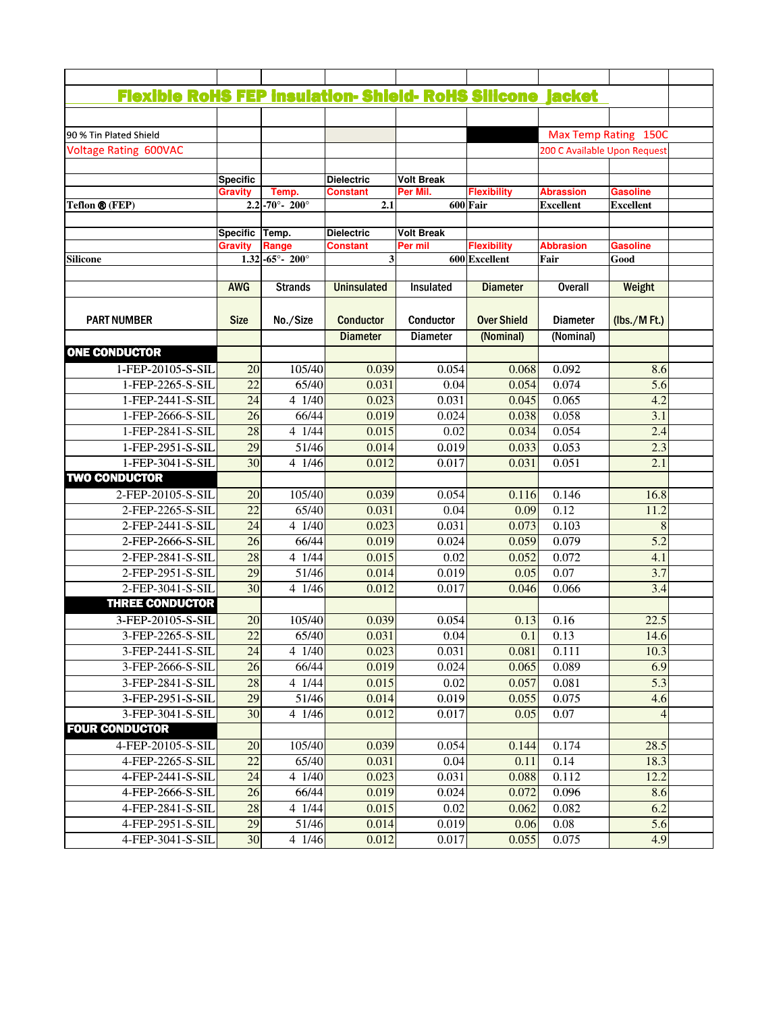| <b>Flexible RoHS FEP insulation- Shield- RoHS Silicone jacket</b> |                 |                                   |                    |                   |                    |                              |                  |
|-------------------------------------------------------------------|-----------------|-----------------------------------|--------------------|-------------------|--------------------|------------------------------|------------------|
|                                                                   |                 |                                   |                    |                   |                    |                              |                  |
|                                                                   |                 |                                   |                    |                   |                    |                              |                  |
| 90 % Tin Plated Shield                                            |                 |                                   |                    |                   |                    | Max Temp Rating 150C         |                  |
| Voltage Rating 600VAC                                             |                 |                                   |                    |                   |                    | 200 C Available Upon Request |                  |
|                                                                   | <b>Specific</b> |                                   | <b>Dielectric</b>  | <b>Volt Break</b> |                    |                              |                  |
|                                                                   | <b>Gravity</b>  | Temp.                             | Constant           | Per Mil.          | <b>Flexibility</b> | <b>Abrassion</b>             | <b>Gasoline</b>  |
| Teflon ® (FEP)                                                    |                 | $2.2 - 70^{\circ} - 200^{\circ}$  | 2.1                |                   | 600 Fair           | <b>Excellent</b>             | <b>Excellent</b> |
|                                                                   |                 |                                   |                    |                   |                    |                              |                  |
|                                                                   | <b>Specific</b> | Temp.                             | <b>Dielectric</b>  | <b>Volt Break</b> |                    |                              |                  |
|                                                                   | <b>Gravity</b>  | Range                             | <b>Constant</b>    | Per mil           | <b>Flexibility</b> | <b>Abbrasion</b>             | <b>Gasoline</b>  |
| Silicone                                                          |                 | $1.32 - 65^{\circ} - 200^{\circ}$ | 3                  |                   | 600 Excellent      | Fair                         | Good             |
|                                                                   | <b>AWG</b>      | <b>Strands</b>                    | <b>Uninsulated</b> | Insulated         | <b>Diameter</b>    | <b>Overall</b>               | Weight           |
|                                                                   |                 |                                   |                    |                   |                    |                              |                  |
| <b>PART NUMBER</b>                                                | <b>Size</b>     | No./Size                          | <b>Conductor</b>   | Conductor         | <b>Over Shield</b> | <b>Diameter</b>              | (lbs./MFt.)      |
|                                                                   |                 |                                   | <b>Diameter</b>    | <b>Diameter</b>   | (Nominal)          | (Nominal)                    |                  |
| <b>ONE CONDUCTOR</b>                                              |                 |                                   |                    |                   |                    |                              |                  |
| 1-FEP-20105-S-SIL                                                 | 20              | 105/40                            | 0.039              | 0.054             | 0.068              | 0.092                        | 8.6              |
| 1-FEP-2265-S-SIL                                                  | $\overline{22}$ | 65/40                             | 0.031              | 0.04              | 0.054              | 0.074                        | 5.6              |
| 1-FEP-2441-S-SIL                                                  | 24              | 4 1/40                            | 0.023              | 0.031             | 0.045              | 0.065                        | 4.2              |
| 1-FEP-2666-S-SIL                                                  | $\overline{26}$ | 66/44                             | 0.019              | 0.024             | 0.038              | 0.058                        | 3.1              |
| 1-FEP-2841-S-SIL                                                  | 28              | 4 1/44                            | 0.015              | 0.02              | 0.034              | 0.054                        | 2.4              |
| 1-FEP-2951-S-SIL                                                  | $\overline{29}$ | 51/46                             | 0.014              | 0.019             | 0.033              | 0.053                        | 2.3              |
| 1-FEP-3041-S-SIL                                                  | $\overline{30}$ | 4 1/46                            | 0.012              | 0.017             | 0.031              | 0.051                        | 2.1              |
| <b>TWO CONDUCTOR</b>                                              |                 |                                   |                    |                   |                    |                              |                  |
| 2-FEP-20105-S-SIL                                                 | 20              | 105/40                            | 0.039              | 0.054             | 0.116              | 0.146                        | 16.8             |
| 2-FEP-2265-S-SIL                                                  | $\overline{22}$ | 65/40                             | 0.031              | 0.04              | 0.09               | 0.12                         | 11.2             |
| 2-FEP-2441-S-SIL                                                  | $\overline{24}$ | $4 \overline{1/40}$               | 0.023              | 0.031             | 0.073              | 0.103                        |                  |
| 2-FEP-2666-S-SIL                                                  | 26              | 66/44                             | 0.019              | 0.024             | 0.059              | 0.079                        | $\overline{5.2}$ |
| 2-FEP-2841-S-SIL                                                  | 28              | 4 1/44                            | 0.015              | 0.02              | 0.052              | 0.072                        | 4.1              |
| 2-FEP-2951-S-SIL                                                  | $\overline{29}$ | 51/46                             | 0.014              | 0.019             | 0.05               | $\overline{0.07}$            | 3.7              |
| 2-FEP-3041-S-SIL                                                  | $\overline{30}$ | 4 1/46                            | 0.012              | 0.017             | 0.046              | 0.066                        | 3.4              |
| <b>THREE CONDUCTOR</b>                                            |                 |                                   |                    |                   |                    |                              |                  |
| 3-FEP-20105-S-SIL                                                 | 20              | 105/40                            | 0.039              | 0.054             | 0.13               | 0.16                         | 22.5             |
| 3-FEP-2265-S-SIL                                                  | $\overline{22}$ | 65/40                             | 0.031              | 0.04              | 0.1                | 0.13                         | 14.6             |
| 3-FEP-2441-S-SIL                                                  | 24              | 4 1/40                            | 0.023              | 0.031             | 0.081              | 0.111                        | 10.3             |
| 3-FEP-2666-S-SIL                                                  | 26              | 66/44                             | 0.019              | 0.024             | 0.065              | 0.089                        | 6.9              |
| 3-FEP-2841-S-SIL                                                  | 28              | 4 1/44                            | 0.015              | 0.02              | 0.057              | 0.081                        | 5.3              |
| 3-FEP-2951-S-SIL                                                  | 29              | 51/46                             | 0.014              | 0.019             | 0.055              | 0.075                        | 4.6              |
| 3-FEP-3041-S-SIL                                                  | 30              | 4 1/46                            | 0.012              | 0.017             | 0.05               | 0.07                         |                  |
| <b>FOUR CONDUCTOR</b>                                             |                 |                                   |                    |                   |                    |                              |                  |
| 4-FEP-20105-S-SIL                                                 | 20              | 105/40                            | 0.039              | 0.054             | 0.144              | 0.174                        | 28.5             |
| 4-FEP-2265-S-SIL                                                  | 22              | $\sqrt{65/40}$                    | 0.031              | 0.04              | 0.11               | 0.14                         | 18.3             |
| 4-FEP-2441-S-SIL                                                  | 24              | 4 1/40                            | 0.023              | 0.031             | 0.088              | $\overline{0.112}$           | 12.2             |
| 4-FEP-2666-S-SIL                                                  | 26              | 66/44                             | 0.019              | 0.024             | 0.072              | 0.096                        | 8.6              |
| 4-FEP-2841-S-SIL                                                  | 28              | 4 1/44                            | 0.015              | 0.02              | 0.062              | 0.082                        | 6.2              |
| 4-FEP-2951-S-SIL                                                  | 29              | 51/46                             | 0.014              | 0.019             | 0.06               | 0.08                         | 5.6              |
|                                                                   |                 |                                   |                    |                   |                    |                              |                  |